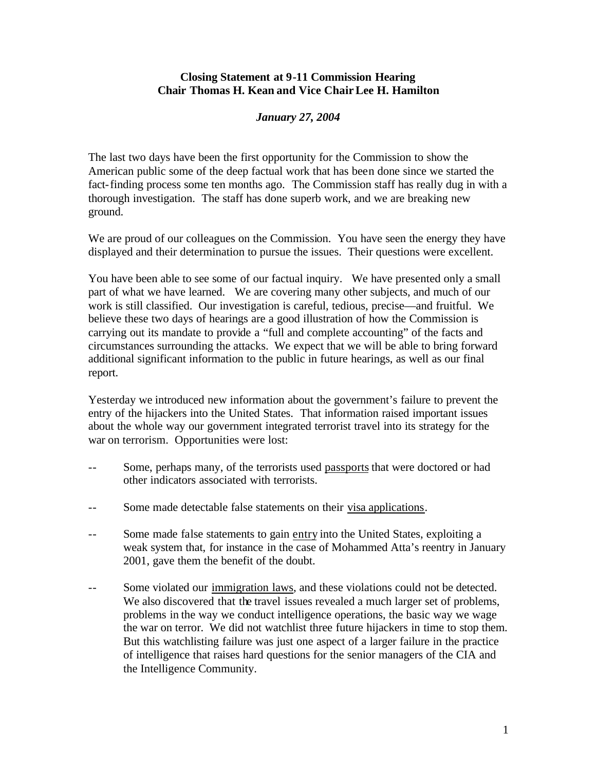## **Closing Statement at 9-11 Commission Hearing Chair Thomas H. Kean and Vice Chair Lee H. Hamilton**

## *January 27, 2004*

The last two days have been the first opportunity for the Commission to show the American public some of the deep factual work that has been done since we started the fact-finding process some ten months ago. The Commission staff has really dug in with a thorough investigation. The staff has done superb work, and we are breaking new ground.

We are proud of our colleagues on the Commission. You have seen the energy they have displayed and their determination to pursue the issues. Their questions were excellent.

You have been able to see some of our factual inquiry. We have presented only a small part of what we have learned. We are covering many other subjects, and much of our work is still classified. Our investigation is careful, tedious, precise—and fruitful. We believe these two days of hearings are a good illustration of how the Commission is carrying out its mandate to provide a "full and complete accounting" of the facts and circumstances surrounding the attacks. We expect that we will be able to bring forward additional significant information to the public in future hearings, as well as our final report.

Yesterday we introduced new information about the government's failure to prevent the entry of the hijackers into the United States. That information raised important issues about the whole way our government integrated terrorist travel into its strategy for the war on terrorism. Opportunities were lost:

- -- Some, perhaps many, of the terrorists used passports that were doctored or had other indicators associated with terrorists.
- -- Some made detectable false statements on their visa applications.
- -- Some made false statements to gain entry into the United States, exploiting a weak system that, for instance in the case of Mohammed Atta's reentry in January 2001, gave them the benefit of the doubt.
- -- Some violated our immigration laws, and these violations could not be detected. We also discovered that the travel issues revealed a much larger set of problems, problems in the way we conduct intelligence operations, the basic way we wage the war on terror. We did not watchlist three future hijackers in time to stop them. But this watchlisting failure was just one aspect of a larger failure in the practice of intelligence that raises hard questions for the senior managers of the CIA and the Intelligence Community.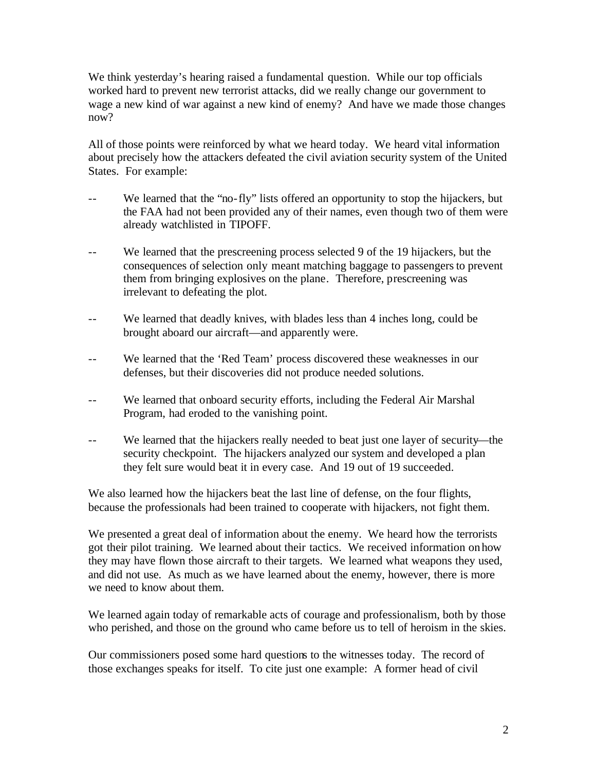We think yesterday's hearing raised a fundamental question. While our top officials worked hard to prevent new terrorist attacks, did we really change our government to wage a new kind of war against a new kind of enemy? And have we made those changes now?

All of those points were reinforced by what we heard today. We heard vital information about precisely how the attackers defeated the civil aviation security system of the United States. For example:

- -- We learned that the "no-fly" lists offered an opportunity to stop the hijackers, but the FAA had not been provided any of their names, even though two of them were already watchlisted in TIPOFF.
- We learned that the prescreening process selected 9 of the 19 hijackers, but the consequences of selection only meant matching baggage to passengers to prevent them from bringing explosives on the plane. Therefore, prescreening was irrelevant to defeating the plot.
- -- We learned that deadly knives, with blades less than 4 inches long, could be brought aboard our aircraft—and apparently were.
- -- We learned that the 'Red Team' process discovered these weaknesses in our defenses, but their discoveries did not produce needed solutions.
- -- We learned that onboard security efforts, including the Federal Air Marshal Program, had eroded to the vanishing point.
- -- We learned that the hijackers really needed to beat just one layer of security—the security checkpoint. The hijackers analyzed our system and developed a plan they felt sure would beat it in every case. And 19 out of 19 succeeded.

We also learned how the hijackers beat the last line of defense, on the four flights, because the professionals had been trained to cooperate with hijackers, not fight them.

We presented a great deal of information about the enemy. We heard how the terrorists got their pilot training. We learned about their tactics. We received information on how they may have flown those aircraft to their targets. We learned what weapons they used, and did not use. As much as we have learned about the enemy, however, there is more we need to know about them.

We learned again today of remarkable acts of courage and professionalism, both by those who perished, and those on the ground who came before us to tell of heroism in the skies.

Our commissioners posed some hard questions to the witnesses today. The record of those exchanges speaks for itself. To cite just one example: A former head of civil